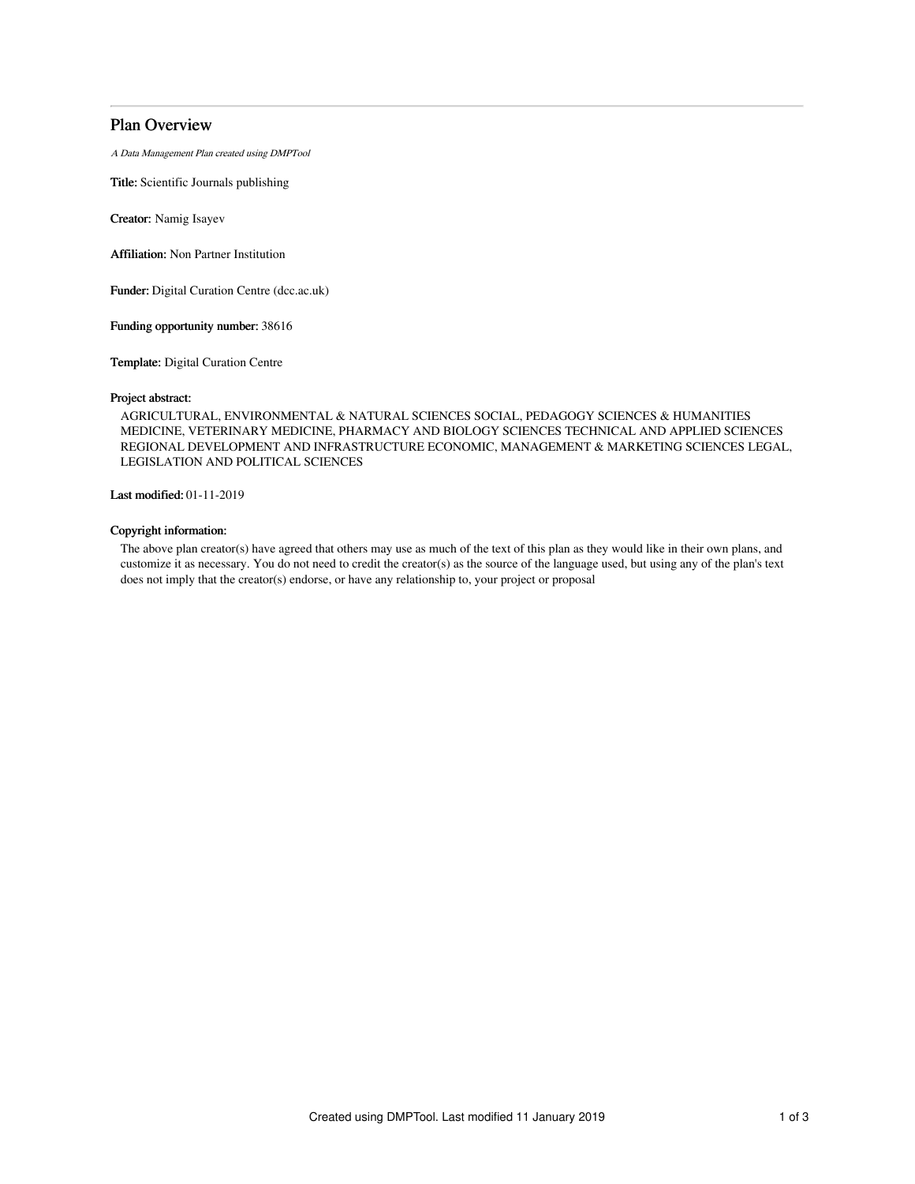# Plan Overview

A Data Management Plan created using DMPTool

Title: Scientific Journals publishing

Creator: Namig Isayev

Affiliation: Non Partner Institution

Funder: Digital Curation Centre (dcc.ac.uk)

Funding opportunity number: 38616

Template: Digital Curation Centre

#### Project abstract:

AGRICULTURAL, ENVIRONMENTAL & NATURAL SCIENCES SOCIAL, PEDAGOGY SCIENCES & HUMANITIES MEDICINE, VETERINARY MEDICINE, PHARMACY AND BIOLOGY SCIENCES TECHNICAL AND APPLIED SCIENCES REGIONAL DEVELOPMENT AND INFRASTRUCTURE ECONOMIC, MANAGEMENT & MARKETING SCIENCES LEGAL, LEGISLATION AND POLITICAL SCIENCES

Last modified: 01-11-2019

## Copyright information:

The above plan creator(s) have agreed that others may use as much of the text of this plan as they would like in their own plans, and customize it as necessary. You do not need to credit the creator(s) as the source of the language used, but using any of the plan's text does not imply that the creator(s) endorse, or have any relationship to, your project or proposal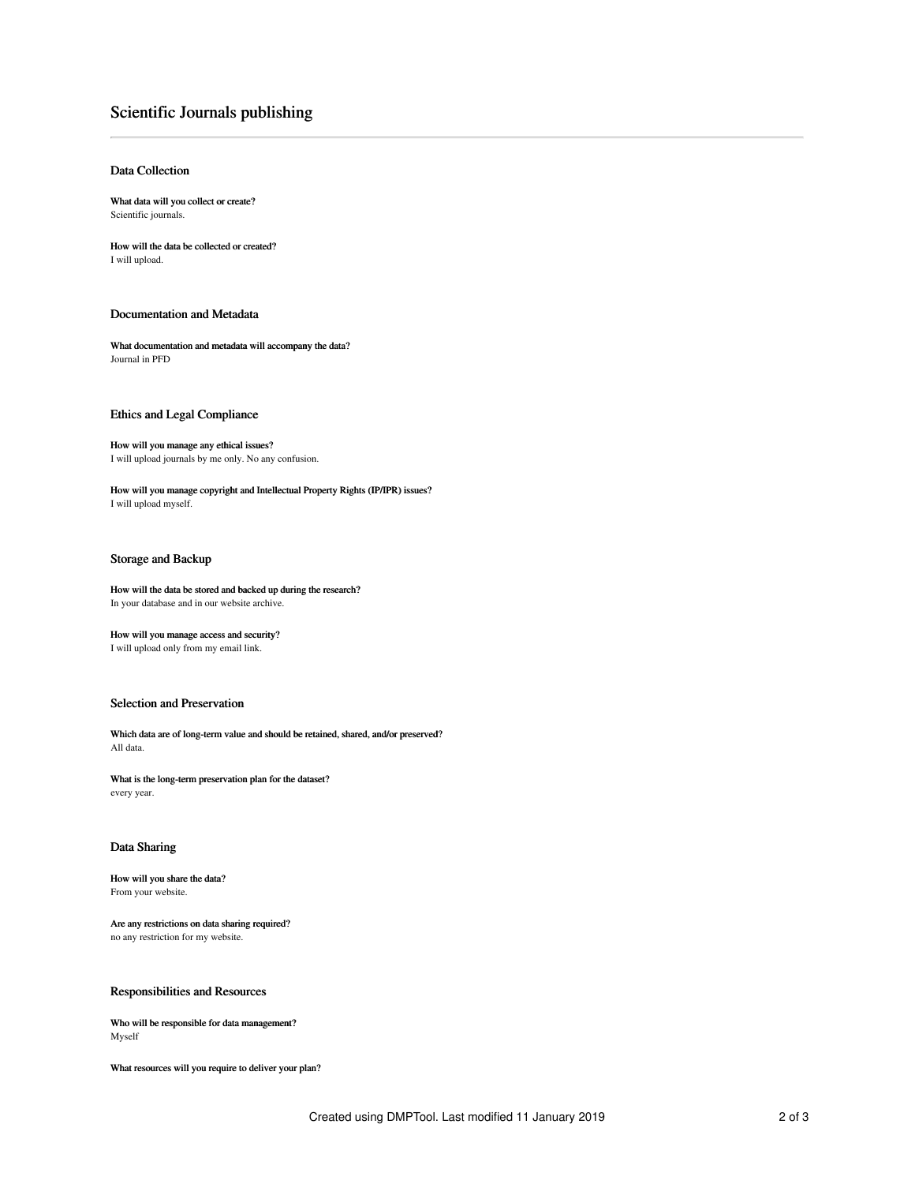# Scientific Journals publishing

## Data Collection

What data will you collect or create? Scientific journals.

How will the data be collected or created? I will upload.

## Documentation and Metadata

What documentation and metadata will accompany the data? Journal in PFD

#### Ethics and Legal Compliance

How will you manage any ethical issues? I will upload journals by me only. No any confusion.

How will you manage copyright and Intellectual Property Rights (IP/IPR) issues? I will upload myself.

## Storage and Backup

How will the data be stored and backed up during the research? In your database and in our website archive.

How will you manage access and security? I will upload only from my email link.

#### Selection and Preservation

Which data are of long-term value and should be retained, shared, and/or preserved? All data.

What is the long-term preservation plan for the dataset? every year.

## Data Sharing

How will you share the data? From your website.

Are any restrictions on data sharing required? no any restriction for my website.

## Responsibilities and Resources

Who will be responsible for data management? Myself

What resources will you require to deliver your plan?